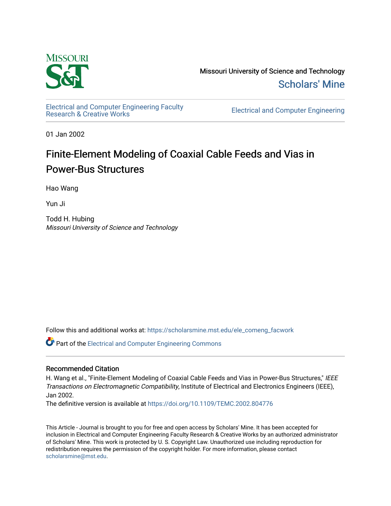

Missouri University of Science and Technology [Scholars' Mine](https://scholarsmine.mst.edu/) 

[Electrical and Computer Engineering Faculty](https://scholarsmine.mst.edu/ele_comeng_facwork)

**Electrical and Computer Engineering** 

01 Jan 2002

# Finite-Element Modeling of Coaxial Cable Feeds and Vias in Power-Bus Structures

Hao Wang

Yun Ji

Todd H. Hubing Missouri University of Science and Technology

Follow this and additional works at: [https://scholarsmine.mst.edu/ele\\_comeng\\_facwork](https://scholarsmine.mst.edu/ele_comeng_facwork?utm_source=scholarsmine.mst.edu%2Fele_comeng_facwork%2F1051&utm_medium=PDF&utm_campaign=PDFCoverPages)

**P** Part of the Electrical and Computer Engineering Commons

# Recommended Citation

H. Wang et al., "Finite-Element Modeling of Coaxial Cable Feeds and Vias in Power-Bus Structures," IEEE Transactions on Electromagnetic Compatibility, Institute of Electrical and Electronics Engineers (IEEE), Jan 2002.

The definitive version is available at <https://doi.org/10.1109/TEMC.2002.804776>

This Article - Journal is brought to you for free and open access by Scholars' Mine. It has been accepted for inclusion in Electrical and Computer Engineering Faculty Research & Creative Works by an authorized administrator of Scholars' Mine. This work is protected by U. S. Copyright Law. Unauthorized use including reproduction for redistribution requires the permission of the copyright holder. For more information, please contact [scholarsmine@mst.edu.](mailto:scholarsmine@mst.edu)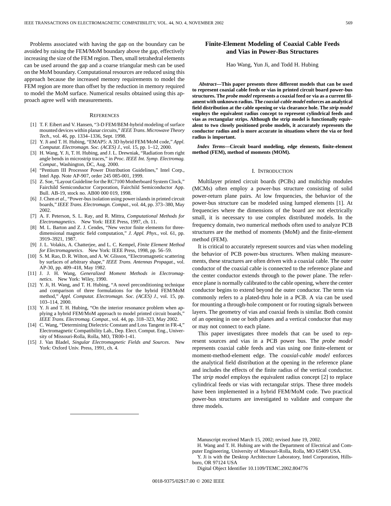Problems associated with having the gap on the boundary can be avoided by raising the FEM/MoM boundary above the gap, effectively increasing the size of the FEM region. Then, small tetrahedral elements can be used around the gap and a coarse triangular mesh can be used on the MoM boundary. Computational resources are reduced using this approach because the increased memory requirements to model the FEM region are more than offset by the reduction in memory required to model the MoM surface. Numerical results obtained using this approach agree well with measurements.

#### **REFERENCES**

- [1] T. F. Eibert and V. Hansen, "3-D FEM/BEM-hybrid modeling of surface mounted devices within planar circuits," *IEEE Trans. Microwave Theory Tech.*, vol. 46, pp. 1334–1336, Sept. 1998.
- [2] Y. Ji and T. H. Hubing, "EMAP5: A 3D hybrid FEM/MoM code," *Appl. Computat. Electromagn. Soc. (ACES) J.*, vol. 15, pp. 1–12, 2000.
- [3] H. Wang, Y. Ji, T. H. Hubing, and J. L. Drewniak, "Radiation from right angle bends in microstrip traces," in *Proc. IEEE Int. Symp. Electromag. Compat.*, Washington, DC, Aug. 2000.
- [4] "Pentium III Processor Power Distribution Guidelines," Intel Corp., Intel App. Note AP-907, order 245 085-001, 1999.
- [5] Z. Soe, "Layout Guideline for the RC7100 Motherboard System Clock," Fairchild Semiconductor Corporation, Fairchild Semiconductor App. Bull. AB-19, stock no. AB00 000 019, 1998.
- [6] J. Chen *et al.*, "Power-bus isolation using power islands in printed circuit boards," *IEEE Trans. Electromagn. Compat.*, vol. 44, pp. 373–380, May 2002.
- [7] A. F. Peterson, S. L. Ray, and R. Mittra, *Computational Methods for Electromagnetics*. New York: IEEE Press, 1997, ch. 11.
- [8] M. L. Barton and Z. J. Cendes, "New vector finite elements for threedimensional magnetic field computation," *J. Appl. Phys.*, vol. 61, pp. 3919–3921, 1987.
- [9] J. L. Volakis, A. Chatterjee, and L. C. Kempel, *Finite Element Method for Electromagnetics*. New York: IEEE Press, 1998, pp. 56–59.
- [10] S. M. Rao, D. R. Wilton, and A. W. Glisson, "Electromagnetic scattering by surfaces of arbitrary shape," *IEEE Trans. Antennas Propagat.*, vol. AP-30, pp. 409–418, May 1982.
- [11] J. J. H. Wang, *Generalized Moment Methods in Electromagnetics*. New York: Wiley, 1990.
- [12] Y. Ji, H. Wang, and T. H. Hubing, "A novel preconditioning technique and comparison of three formulations for the hybrid FEM/MoM method," *Appl. Computat. Electromagn. Soc. (ACES) J.*, vol. 15, pp. 103–114, 2000.
- [13] Y. Ji and T. H. Hubing, "On the interior resonance problem when applying a hybrid FEM/MoM approach to model printed circuit boards, *IEEE Trans. Electromag. Compat.*, vol. 44, pp. 318–323, May 2002.
- [14] C. Wang, "Determining Dielectric Constant and Loss Tangent in FR-4," Electromagnetic Compatibility Lab., Dep. Elect. Comput. Eng., University of Missouri-Rolla, Rolla, MO, TR00-1-41.
- [15] J. Van Bladel, *Singular Electromagnetic Fields and Sources*. New York: Oxford Univ. Press, 1991, ch. 4.

## **Finite-Element Modeling of Coaxial Cable Feeds and Vias in Power-Bus Structures**

Hao Wang, Yun Ji, and Todd H. Hubing

*Abstract—***This paper presents three different models that can be used to represent coaxial cable feeds or vias in printed circuit board power-bus structures. The** *probe model* **represents a coaxial feed or via as a current filament with unknown radius. The** *coaxial-cable model* **enforces an analytical field distribution at the cable opening or via clearance hole. The** *strip model* **employs the equivalent radius concept to represent cylindrical feeds and vias as rectangular strips. Although the strip model is functionally equivalent to two closely positioned probe models, it accurately represents the conductor radius and is more accurate in situations where the via or feed radius is important.**

*Index Terms—***Circuit board modeling, edge elements, finite-element method (FEM), method of moments (MOM).**

#### I. INTRODUCTION

Multilayer printed circuit boards (PCBs) and multichip modules (MCMs) often employ a power-bus structure consisting of solid power-return plane pairs. At low frequencies, the behavior of the power-bus structure can be modeled using lumped elements [1]. At frequencies where the dimensions of the board are not electrically small, it is necessary to use complex distributed models. In the frequency domain, two numerical methods often used to analyze PCB structures are the method of moments (MoM) and the finite-element method (FEM).

It is critical to accurately represent sources and vias when modeling the behavior of PCB power-bus structures. When making measurements, these structures are often driven with a coaxial cable. The outer conductor of the coaxial cable is connected to the reference plane and the center conductor extends through to the power plane. The reference plane is normally calibrated to the cable opening, where the center conductor begins to extend beyond the outer conductor. The term via commonly refers to a plated-thru hole in a PCB. A via can be used for mounting a through-hole component or for routing signals between layers. The geometry of vias and coaxial feeds is similar. Both consist of an opening in one or both planes and a vertical conductor that may or may not connect to each plane.

This paper investigates three models that can be used to represent sources and vias in a PCB power bus. The *probe model* represents coaxial cable feeds and vias using one finite-element or moment-method-element edge. The *coaxial-cable model* enforces the analytical field distribution at the opening in the reference plane and includes the effects of the finite radius of the vertical conductor. The *strip model* employs the equivalent radius concept [2] to replace cylindrical feeds or vias with rectangular strips. These three models have been implemented in a hybrid FEM/MoM code. Two practical power-bus structures are investigated to validate and compare the three models.

Manuscript received March 15, 2002; revised June 19, 2002.

H. Wang and T. H. Hubing are with the Department of Electrical and Computer Engineering, University of Missouri-Rolla, Rolla, MO 65409 USA.

Y. Ji is with the Desktop Architecture Laboratory, Intel Corporation, Hillsboro, OR 97124 USA

Digital Object Identifier 10.1109/TEMC.2002.804776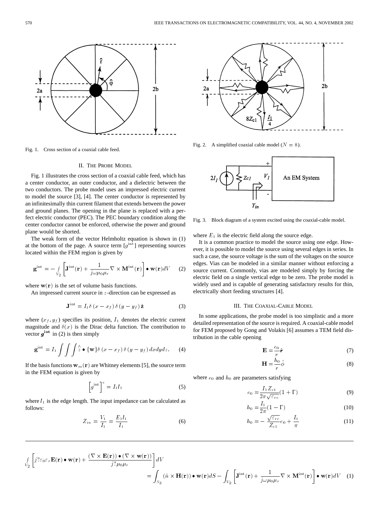

Fig. 1. Cross section of a coaxial cable feed.

## II. THE PROBE MODEL

Fig. 1 illustrates the cross section of a coaxial cable feed, which has a center conductor, an outer conductor, and a dielectric between the two conductors. The probe model uses an impressed electric current to model the source [3], [4]. The center conductor is represented by an infinitesimally thin current filament that extends between the power and ground planes. The opening in the plane is replaced with a perfect electric conductor (PEC). The PEC boundary condition along the center conductor cannot be enforced, otherwise the power and ground plane would be shorted.

The weak form of the vector Helmholtz equation is shown in (1) at the bottom of the page. A source term  $[g^{\text{int}}]$  representing sources located within the FEM region is given by

$$
\mathbf{g}^{\text{int}} = -\int\limits_{V_2} \left[ \mathbf{J}^{\text{int}}(\mathbf{r}) + \frac{1}{j \omega \mu_0 \mu_r} \nabla \times \mathbf{M}^{\text{int}}(\mathbf{r}) \right] \bullet \mathbf{w}(\mathbf{r}) dV \tag{2}
$$

where  $w(r)$  is the set of volume basis functions.

An impressed current source in z-direction can be expressed as

$$
\mathbf{J}^{\text{int}} = I_1 \delta \left( x - x_f \right) \delta \left( y - y_f \right) \hat{\mathbf{z}} \tag{3}
$$

where  $(x_f, y_f)$  specifies its position,  $I_1$  denotes the electric current magnitude and  $\delta(x)$  is the Dirac delta function. The contribution to vector  $g^{\text{int}}$  in (2) is then simply

$$
\mathbf{g}^{\text{int}} = I_1 \int \int \int \hat{z} \cdot \{ \mathbf{w} \} \delta(x - x_f) \delta(y - y_f) dx dy dz. \tag{4}
$$

If the basis functions  $w_m(r)$  are Whitney elements [5], the source term in the FEM equation is given by

$$
\left[g^{\rm int}\right]^e = I_1 l_1\tag{5}
$$

where  $l_1$  is the edge length. The input impedance can be calculated as follows:

$$
Z_{in} = \frac{V_1}{I_1} = \frac{E_1 l_1}{I_1} \tag{6}
$$



Fig. 2. A simplified coaxial cable model ( $N = 8$ ).



Fig. 3. Block diagram of a system excited using the coaxial-cable model.

where  $E_1$  is the electric field along the source edge.

It is a common practice to model the source using one edge. However, it is possible to model the source using several edges in series. In such a case, the source voltage is the sum of the voltages on the source edges. Vias can be modeled in a similar manner without enforcing a source current. Commonly, vias are modeled simply by forcing the electric field on a single vertical edge to be zero. The probe model is widely used and is capable of generating satisfactory results for thin, electrically short feeding structures [4].

#### III. THE COAXIAL-CABLE MODEL

In some applications, the probe model is too simplistic and a more detailed representation of the source is required. A coaxial-cable model for FEM proposed by Gong and Volakis [6] assumes a TEM field distribution in the cable opening

$$
\mathbf{E} = \frac{e_0}{r}\hat{\mathbf{r}} \tag{7}
$$

$$
\mathbf{H} = \frac{h_0}{r} \hat{\phi} \tag{8}
$$

where  $e_0$  and  $h_0$  are parameters satisfying

$$
e_0 = \frac{I_1 Z_{c1}}{2\pi \sqrt{\varepsilon_{rc}}} (1 + \Gamma)
$$
 (9)

$$
h_0 = \frac{I_1}{2\pi} (1 - \Gamma)
$$
 (10)

$$
h_0 = -\frac{\sqrt{\varepsilon_{rc}}}{Z_{c1}} e_0 + \frac{I_1}{\pi}
$$
 (11)

$$
\int_{V_2} \left[ j^? \varepsilon_0 \varepsilon_r \mathbf{E}(\mathbf{r}) \bullet \mathbf{w}(\mathbf{r}) + \frac{(\nabla \times \mathbf{E}(\mathbf{r})) \bullet (\nabla \times \mathbf{w}(\mathbf{r}))}{j^? \mu_0 \mu_r} \right] dV
$$
\n
$$
= \int_{S_2} (\hat{n} \times \mathbf{H}(\mathbf{r})) \bullet \mathbf{w}(\mathbf{r}) dS - \int_{V_2} \left[ \mathbf{J}^{\text{int}}(\mathbf{r}) + \frac{1}{j \omega \mu_0 \mu_r} \nabla \times \mathbf{M}^{\text{int}}(\mathbf{r}) \right] \bullet \mathbf{w}(\mathbf{r}) dV \quad (1)
$$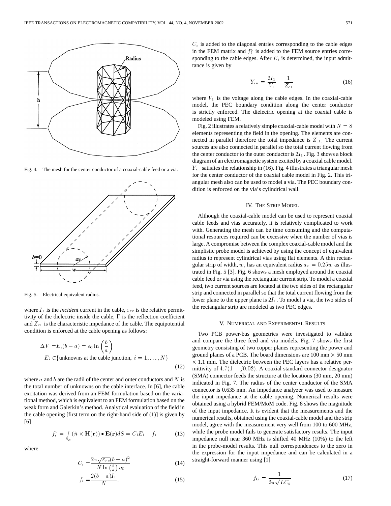

Fig. 4. The mesh for the center conductor of a coaxial-cable feed or a via.



Fig. 5. Electrical equivalent radius.

where  $I_1$  is the *incident* current in the cable,  $\varepsilon_{rc}$  is the relative permittivity of the dielectric inside the cable,  $\Gamma$  is the reflection coefficient and  $Z_{c1}$  is the characteristic impedance of the cable. The equipotential condition is enforced at the cable opening as follows:

$$
\Delta V = E_i(b - a) = e_0 \ln \left(\frac{b}{a}\right)
$$
  
\n
$$
E_i \in \{\text{unknowns at the cable junction, } i = 1, ..., N\}
$$
\n(12)

where  $a$  and  $b$  are the radii of the center and outer conductors and  $N$  is the total number of unknowns on the cable interface. In [6], the cable excitation was derived from an FEM formulation based on the variational method, which is equivalent to an FEM formulation based on the weak form and Galerkin's method. Analytical evaluation of the field in the cable opening [first term on the right-hand side of (1)] is given by [6]

$$
f_i^c = \int_{S_c} (\hat{n} \times \mathbf{H}(\mathbf{r})) \bullet \mathbf{E}(\mathbf{r}) dS = C_i E_i - f_i \tag{13}
$$

where

$$
C_i = \frac{2\pi\sqrt{\varepsilon_{rc}}(b-a)^2}{N\ln\left(\frac{b}{a}\right)\eta_0}
$$
(14)

$$
f_i = \frac{2(b-a)I_1}{N}.
$$
 (15)

 $C_i$  is added to the diagonal entries corresponding to the cable edges in the FEM matrix and  $f_i^c$  is added to the FEM source entries corresponding to the cable edges. After  $E_i$  is determined, the input admittance is given by

$$
Y_{in} = \frac{2I_1}{V_1} - \frac{1}{Z_{c1}}\tag{16}
$$

where  $V_1$  is the voltage along the cable edges. In the coaxial-cable model, the PEC boundary condition along the center conductor is strictly enforced. The dielectric opening at the coaxial cable is modeled using FEM.

Fig. 2 illustrates a relatively simple coaxial-cable model with  $N = 8$ elements representing the field in the opening. The elements are connected in parallel therefore the total impedance is  $Z_{c1}$ . The current sources are also connected in parallel so the total current flowing from the center conductor to the outer conductor is  $2I_1$ . Fig. 3 shows a block diagram of an electromagnetic system excited by a coaxial cable model.  $Y_{in}$  satisfies the relationship in (16). Fig. 4 illustrates a triangular mesh for the center conductor of the coaxial cable model in Fig. 2. This triangular mesh also can be used to model a via. The PEC boundary condition is enforced on the via's cylindrical wall.

#### IV. THE STRIP MODEL

Although the coaxial-cable model can be used to represent coaxial cable feeds and vias accurately, it is relatively complicated to work with. Generating the mesh can be time consuming and the computational resources required can be excessive when the number of vias is large. A compromise between the complex coaxial-cable model and the simplistic probe model is achieved by using the concept of equivalent radius to represent cylindrical vias using flat elements. A thin rectangular strip of width, w, has an equivalent radius  $a_e = 0.25w$  as illustrated in Fig. 5 [3]. Fig. 6 shows a mesh employed around the coaxial cable feed or via using the rectangular current strip. To model a coaxial feed, two current sources are located at the two sides of the rectangular strip and connected in parallel so that the total current flowing from the lower plane to the upper plane is  $2I_1$ . To model a via, the two sides of the rectangular strip are modeled as two PEC edges.

#### V. NUMERICAL AND EXPERIMENTAL RESULTS

Two PCB power-bus geometries were investigated to validate and compare the three feed and via models. Fig. 7 shows the first geometry consisting of two copper planes representing the power and ground planes of a PCB. The board dimensions are  $100 \text{ mm} \times 50 \text{ mm}$  $\times$  1.1 mm. The dielectric between the PEC layers has a relative permittivity of  $4.7(1 - j0.02)$ . A coaxial standard connector designator (SMA) connector feeds the structure at the locations (30 mm, 20 mm) indicated in Fig. 7. The radius of the center conductor of the SMA connector is 0.635 mm. An impedance analyzer was used to measure the input impedance at the cable opening. Numerical results were obtained using a hybrid FEM/MoM code. Fig. 8 shows the magnitude of the input impedance. It is evident that the measurements and the numerical results, obtained using the coaxial-cable model and the strip model, agree with the measurement very well from 100 to 600 MHz, while the probe model fails to generate satisfactory results. The input impedance null near 360 MHz is shifted 40 MHz (10%) to the left in the probe-model results. This null correspondences to the zero in the expression for the input impedance and can be calculated in a straight-forward manner using [1]

$$
f_O = \frac{1}{2\pi\sqrt{LC_b}}\tag{17}
$$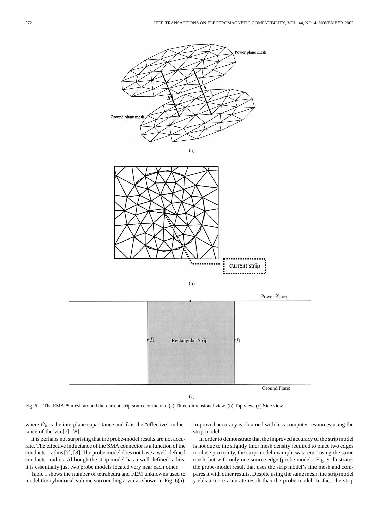

Ground Plane

Fig. 6. The EMAP5 mesh around the current strip source or the via. (a) Three-dimensional view. (b) Top view. (c) Side view.

(c)

where  $C_b$  is the interplane capacitance and L is the "effective" inductance of the via [7], [8].

It is perhaps not surprising that the probe-model results are not accurate. The effective inductance of the SMA connector is a function of the conductor radius [7], [8]. The probe model does not have a well-defined conductor radius. Although the strip model has a well-defined radius, it is essentially just two probe models located very near each other.

Table I shows the number of tetrahedra and FEM unknowns used to model the cylindrical volume surrounding a via as shown in Fig. 6(a). Improved accuracy is obtained with less computer resources using the strip model.

In order to demonstrate that the improved accuracy of the strip model is not due to the slightly finer mesh density required to place two edges in close proximity, the strip model example was rerun using the same mesh, but with only one source edge (probe model). Fig. 9 illustrates the probe-model result that uses the strip model's fine mesh and compares it with other results. Despite using the same mesh, the strip model yields a more accurate result than the probe model. In fact, the strip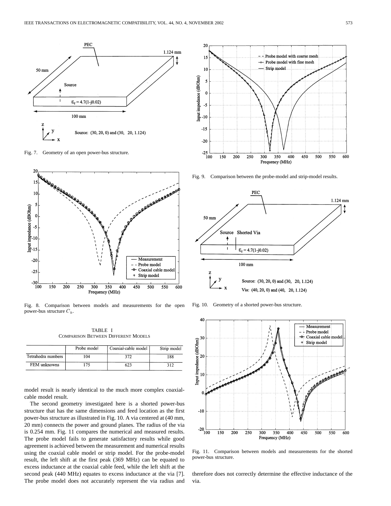

Fig. 7. Geometry of an open power-bus structure.



Fig. 8. Comparison between models and measurements for the open power-bus structure  $C_b$ .

TABLE I COMPARISON BETWEEN DIFFERENT MODELS

|                    | Probe model | Coaxial-cable model | Strip model |
|--------------------|-------------|---------------------|-------------|
| Tetrahedra numbers | 04          | 372                 | 188         |
| FEM unknowns       | 75          | 623.                | 312         |

model result is nearly identical to the much more complex coaxialcable model result.

The second geometry investigated here is a shorted power-bus structure that has the same dimensions and feed location as the first power-bus structure as illustrated in Fig. 10. A via centered at (40 mm, 20 mm) connects the power and ground planes. The radius of the via is 0.254 mm. Fig. 11 compares the numerical and measured results. The probe model fails to generate satisfactory results while good agreement is achieved between the measurement and numerical results using the coaxial cable model or strip model. For the probe-model result, the left shift at the first peak (369 MHz) can be equated to excess inductance at the coaxial cable feed, while the left shift at the second peak (440 MHz) equates to excess inductance at the via [7]. The probe model does not accurately represent the via radius and



Fig. 9. Comparison between the probe-model and strip-model results.



Fig. 10. Geometry of a shorted power-bus structure.



Fig. 11. Comparison between models and measurements for the shorted power-bus structure.

therefore does not correctly determine the effective inductance of the via.